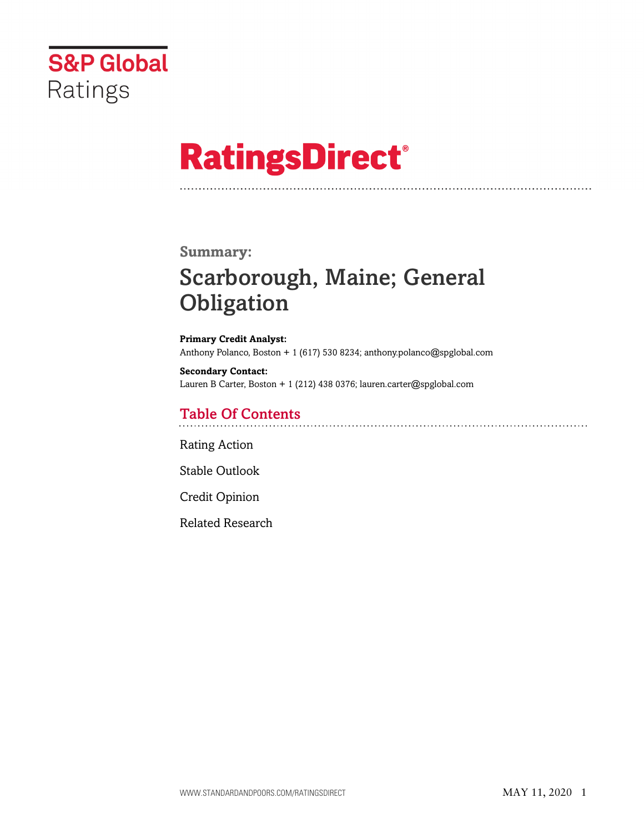

# **RatingsDirect®**

# **Summary:**

# Scarborough, Maine; General **Obligation**

**Primary Credit Analyst:** Anthony Polanco, Boston + 1 (617) 530 8234; anthony.polanco@spglobal.com

**Secondary Contact:** Lauren B Carter, Boston + 1 (212) 438 0376; lauren.carter@spglobal.com

# Table Of Contents

[Rating Action](#page-1-0)

[Stable Outlook](#page-2-0)

[Credit Opinion](#page-2-1)

[Related Research](#page-5-0)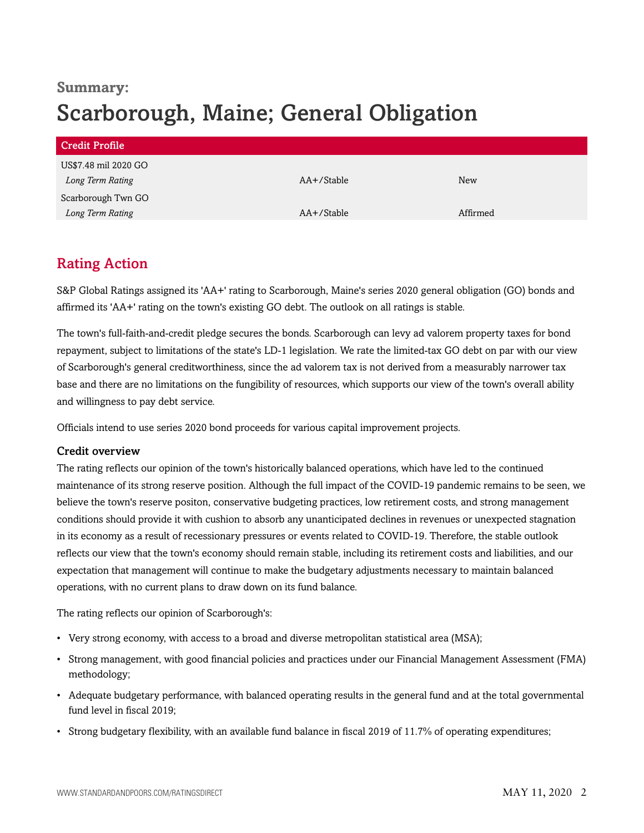# **Summary:** Scarborough, Maine; General Obligation

| Credit Profile       |            |            |
|----------------------|------------|------------|
| US\$7.48 mil 2020 GO |            |            |
| Long Term Rating     | AA+/Stable | <b>New</b> |
| Scarborough Twn GO   |            |            |
| Long Term Rating     | AA+/Stable | Affirmed   |

# <span id="page-1-0"></span>Rating Action

S&P Global Ratings assigned its 'AA+' rating to Scarborough, Maine's series 2020 general obligation (GO) bonds and affirmed its 'AA+' rating on the town's existing GO debt. The outlook on all ratings is stable.

The town's full-faith-and-credit pledge secures the bonds. Scarborough can levy ad valorem property taxes for bond repayment, subject to limitations of the state's LD-1 legislation. We rate the limited-tax GO debt on par with our view of Scarborough's general creditworthiness, since the ad valorem tax is not derived from a measurably narrower tax base and there are no limitations on the fungibility of resources, which supports our view of the town's overall ability and willingness to pay debt service.

Officials intend to use series 2020 bond proceeds for various capital improvement projects.

# Credit overview

The rating reflects our opinion of the town's historically balanced operations, which have led to the continued maintenance of its strong reserve position. Although the full impact of the COVID-19 pandemic remains to be seen, we believe the town's reserve positon, conservative budgeting practices, low retirement costs, and strong management conditions should provide it with cushion to absorb any unanticipated declines in revenues or unexpected stagnation in its economy as a result of recessionary pressures or events related to COVID-19. Therefore, the stable outlook reflects our view that the town's economy should remain stable, including its retirement costs and liabilities, and our expectation that management will continue to make the budgetary adjustments necessary to maintain balanced operations, with no current plans to draw down on its fund balance.

The rating reflects our opinion of Scarborough's:

- Very strong economy, with access to a broad and diverse metropolitan statistical area (MSA);
- Strong management, with good financial policies and practices under our Financial Management Assessment (FMA) methodology;
- Adequate budgetary performance, with balanced operating results in the general fund and at the total governmental fund level in fiscal 2019;
- Strong budgetary flexibility, with an available fund balance in fiscal 2019 of 11.7% of operating expenditures;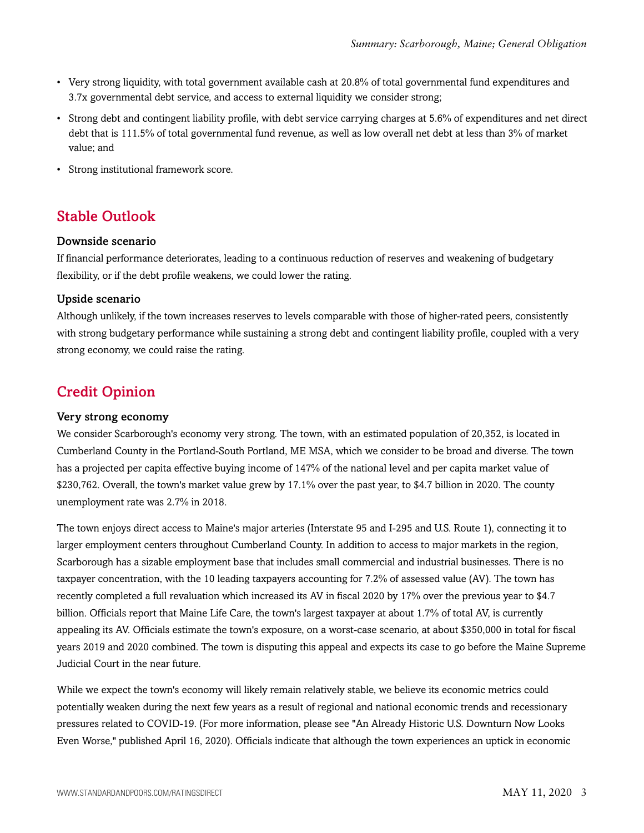- Very strong liquidity, with total government available cash at 20.8% of total governmental fund expenditures and 3.7x governmental debt service, and access to external liquidity we consider strong;
- Strong debt and contingent liability profile, with debt service carrying charges at 5.6% of expenditures and net direct debt that is 111.5% of total governmental fund revenue, as well as low overall net debt at less than 3% of market value; and
- Strong institutional framework score.

# <span id="page-2-0"></span>Stable Outlook

#### Downside scenario

If financial performance deteriorates, leading to a continuous reduction of reserves and weakening of budgetary flexibility, or if the debt profile weakens, we could lower the rating.

# Upside scenario

Although unlikely, if the town increases reserves to levels comparable with those of higher-rated peers, consistently with strong budgetary performance while sustaining a strong debt and contingent liability profile, coupled with a very strong economy, we could raise the rating.

# <span id="page-2-1"></span>Credit Opinion

#### Very strong economy

We consider Scarborough's economy very strong. The town, with an estimated population of 20,352, is located in Cumberland County in the Portland-South Portland, ME MSA, which we consider to be broad and diverse. The town has a projected per capita effective buying income of 147% of the national level and per capita market value of \$230,762. Overall, the town's market value grew by 17.1% over the past year, to \$4.7 billion in 2020. The county unemployment rate was 2.7% in 2018.

The town enjoys direct access to Maine's major arteries (Interstate 95 and I-295 and U.S. Route 1), connecting it to larger employment centers throughout Cumberland County. In addition to access to major markets in the region, Scarborough has a sizable employment base that includes small commercial and industrial businesses. There is no taxpayer concentration, with the 10 leading taxpayers accounting for 7.2% of assessed value (AV). The town has recently completed a full revaluation which increased its AV in fiscal 2020 by 17% over the previous year to \$4.7 billion. Officials report that Maine Life Care, the town's largest taxpayer at about 1.7% of total AV, is currently appealing its AV. Officials estimate the town's exposure, on a worst-case scenario, at about \$350,000 in total for fiscal years 2019 and 2020 combined. The town is disputing this appeal and expects its case to go before the Maine Supreme Judicial Court in the near future.

While we expect the town's economy will likely remain relatively stable, we believe its economic metrics could potentially weaken during the next few years as a result of regional and national economic trends and recessionary pressures related to COVID-19. (For more information, please see "An Already Historic U.S. Downturn Now Looks Even Worse," published April 16, 2020). Officials indicate that although the town experiences an uptick in economic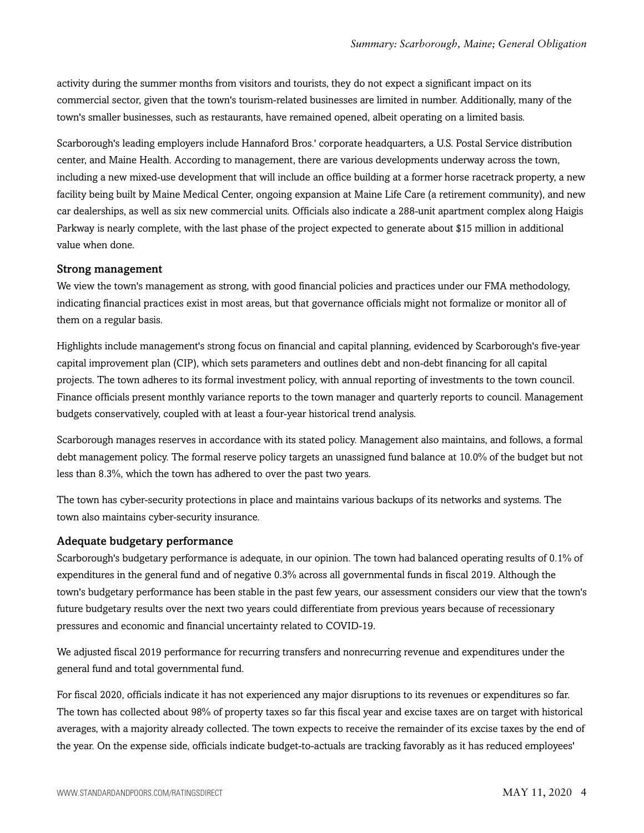activity during the summer months from visitors and tourists, they do not expect a significant impact on its commercial sector, given that the town's tourism-related businesses are limited in number. Additionally, many of the town's smaller businesses, such as restaurants, have remained opened, albeit operating on a limited basis.

Scarborough's leading employers include Hannaford Bros.' corporate headquarters, a U.S. Postal Service distribution center, and Maine Health. According to management, there are various developments underway across the town, including a new mixed-use development that will include an office building at a former horse racetrack property, a new facility being built by Maine Medical Center, ongoing expansion at Maine Life Care (a retirement community), and new car dealerships, as well as six new commercial units. Officials also indicate a 288-unit apartment complex along Haigis Parkway is nearly complete, with the last phase of the project expected to generate about \$15 million in additional value when done.

#### Strong management

We view the town's management as strong, with good financial policies and practices under our FMA methodology, indicating financial practices exist in most areas, but that governance officials might not formalize or monitor all of them on a regular basis.

Highlights include management's strong focus on financial and capital planning, evidenced by Scarborough's five-year capital improvement plan (CIP), which sets parameters and outlines debt and non-debt financing for all capital projects. The town adheres to its formal investment policy, with annual reporting of investments to the town council. Finance officials present monthly variance reports to the town manager and quarterly reports to council. Management budgets conservatively, coupled with at least a four-year historical trend analysis.

Scarborough manages reserves in accordance with its stated policy. Management also maintains, and follows, a formal debt management policy. The formal reserve policy targets an unassigned fund balance at 10.0% of the budget but not less than 8.3%, which the town has adhered to over the past two years.

The town has cyber-security protections in place and maintains various backups of its networks and systems. The town also maintains cyber-security insurance.

#### Adequate budgetary performance

Scarborough's budgetary performance is adequate, in our opinion. The town had balanced operating results of 0.1% of expenditures in the general fund and of negative 0.3% across all governmental funds in fiscal 2019. Although the town's budgetary performance has been stable in the past few years, our assessment considers our view that the town's future budgetary results over the next two years could differentiate from previous years because of recessionary pressures and economic and financial uncertainty related to COVID-19.

We adjusted fiscal 2019 performance for recurring transfers and nonrecurring revenue and expenditures under the general fund and total governmental fund.

For fiscal 2020, officials indicate it has not experienced any major disruptions to its revenues or expenditures so far. The town has collected about 98% of property taxes so far this fiscal year and excise taxes are on target with historical averages, with a majority already collected. The town expects to receive the remainder of its excise taxes by the end of the year. On the expense side, officials indicate budget-to-actuals are tracking favorably as it has reduced employees'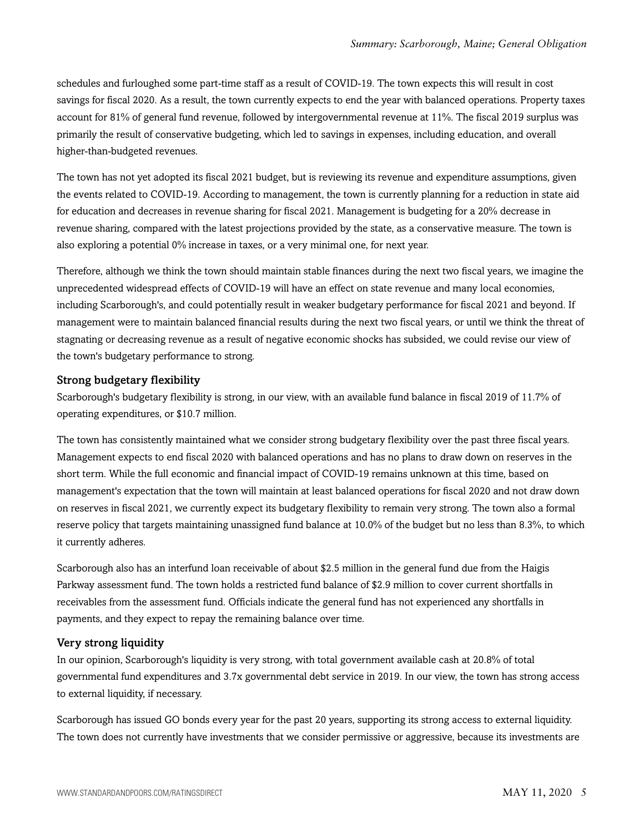schedules and furloughed some part-time staff as a result of COVID-19. The town expects this will result in cost savings for fiscal 2020. As a result, the town currently expects to end the year with balanced operations. Property taxes account for 81% of general fund revenue, followed by intergovernmental revenue at 11%. The fiscal 2019 surplus was primarily the result of conservative budgeting, which led to savings in expenses, including education, and overall higher-than-budgeted revenues.

The town has not yet adopted its fiscal 2021 budget, but is reviewing its revenue and expenditure assumptions, given the events related to COVID-19. According to management, the town is currently planning for a reduction in state aid for education and decreases in revenue sharing for fiscal 2021. Management is budgeting for a 20% decrease in revenue sharing, compared with the latest projections provided by the state, as a conservative measure. The town is also exploring a potential 0% increase in taxes, or a very minimal one, for next year.

Therefore, although we think the town should maintain stable finances during the next two fiscal years, we imagine the unprecedented widespread effects of COVID-19 will have an effect on state revenue and many local economies, including Scarborough's, and could potentially result in weaker budgetary performance for fiscal 2021 and beyond. If management were to maintain balanced financial results during the next two fiscal years, or until we think the threat of stagnating or decreasing revenue as a result of negative economic shocks has subsided, we could revise our view of the town's budgetary performance to strong.

# Strong budgetary flexibility

Scarborough's budgetary flexibility is strong, in our view, with an available fund balance in fiscal 2019 of 11.7% of operating expenditures, or \$10.7 million.

The town has consistently maintained what we consider strong budgetary flexibility over the past three fiscal years. Management expects to end fiscal 2020 with balanced operations and has no plans to draw down on reserves in the short term. While the full economic and financial impact of COVID-19 remains unknown at this time, based on management's expectation that the town will maintain at least balanced operations for fiscal 2020 and not draw down on reserves in fiscal 2021, we currently expect its budgetary flexibility to remain very strong. The town also a formal reserve policy that targets maintaining unassigned fund balance at 10.0% of the budget but no less than 8.3%, to which it currently adheres.

Scarborough also has an interfund loan receivable of about \$2.5 million in the general fund due from the Haigis Parkway assessment fund. The town holds a restricted fund balance of \$2.9 million to cover current shortfalls in receivables from the assessment fund. Officials indicate the general fund has not experienced any shortfalls in payments, and they expect to repay the remaining balance over time.

# Very strong liquidity

In our opinion, Scarborough's liquidity is very strong, with total government available cash at 20.8% of total governmental fund expenditures and 3.7x governmental debt service in 2019. In our view, the town has strong access to external liquidity, if necessary.

Scarborough has issued GO bonds every year for the past 20 years, supporting its strong access to external liquidity. The town does not currently have investments that we consider permissive or aggressive, because its investments are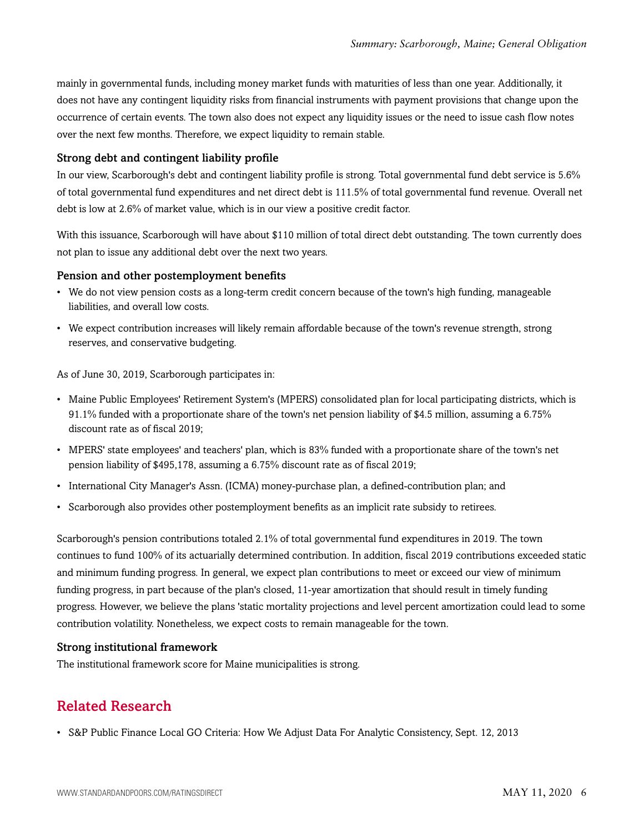mainly in governmental funds, including money market funds with maturities of less than one year. Additionally, it does not have any contingent liquidity risks from financial instruments with payment provisions that change upon the occurrence of certain events. The town also does not expect any liquidity issues or the need to issue cash flow notes over the next few months. Therefore, we expect liquidity to remain stable.

#### Strong debt and contingent liability profile

In our view, Scarborough's debt and contingent liability profile is strong. Total governmental fund debt service is 5.6% of total governmental fund expenditures and net direct debt is 111.5% of total governmental fund revenue. Overall net debt is low at 2.6% of market value, which is in our view a positive credit factor.

With this issuance, Scarborough will have about \$110 million of total direct debt outstanding. The town currently does not plan to issue any additional debt over the next two years.

#### Pension and other postemployment benefits

- We do not view pension costs as a long-term credit concern because of the town's high funding, manageable liabilities, and overall low costs.
- We expect contribution increases will likely remain affordable because of the town's revenue strength, strong reserves, and conservative budgeting.

As of June 30, 2019, Scarborough participates in:

- Maine Public Employees' Retirement System's (MPERS) consolidated plan for local participating districts, which is 91.1% funded with a proportionate share of the town's net pension liability of \$4.5 million, assuming a 6.75% discount rate as of fiscal 2019;
- MPERS' state employees' and teachers' plan, which is 83% funded with a proportionate share of the town's net pension liability of \$495,178, assuming a 6.75% discount rate as of fiscal 2019;
- International City Manager's Assn. (ICMA) money-purchase plan, a defined-contribution plan; and
- Scarborough also provides other postemployment benefits as an implicit rate subsidy to retirees.

Scarborough's pension contributions totaled 2.1% of total governmental fund expenditures in 2019. The town continues to fund 100% of its actuarially determined contribution. In addition, fiscal 2019 contributions exceeded static and minimum funding progress. In general, we expect plan contributions to meet or exceed our view of minimum funding progress, in part because of the plan's closed, 11-year amortization that should result in timely funding progress. However, we believe the plans 'static mortality projections and level percent amortization could lead to some contribution volatility. Nonetheless, we expect costs to remain manageable for the town.

# Strong institutional framework

<span id="page-5-0"></span>The institutional framework score for Maine municipalities is strong.

# Related Research

• S&P Public Finance Local GO Criteria: How We Adjust Data For Analytic Consistency, Sept. 12, 2013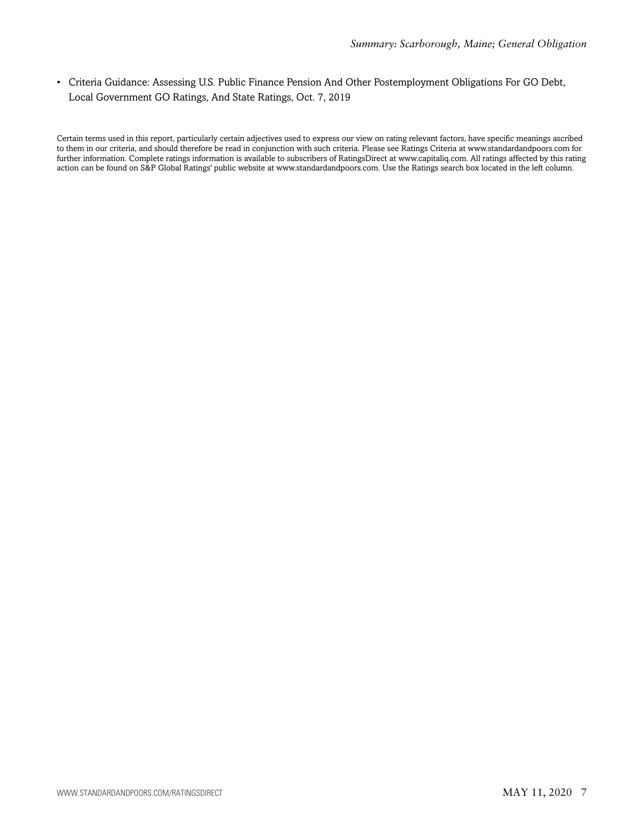• Criteria Guidance: Assessing U.S. Public Finance Pension And Other Postemployment Obligations For GO Debt, Local Government GO Ratings, And State Ratings, Oct. 7, 2019

Certain terms used in this report, particularly certain adjectives used to express our view on rating relevant factors, have specific meanings ascribed to them in our criteria, and should therefore be read in conjunction with such criteria. Please see Ratings Criteria at www.standardandpoors.com for further information. Complete ratings information is available to subscribers of RatingsDirect at www.capitaliq.com. All ratings affected by this rating action can be found on S&P Global Ratings' public website at www.standardandpoors.com. Use the Ratings search box located in the left column.